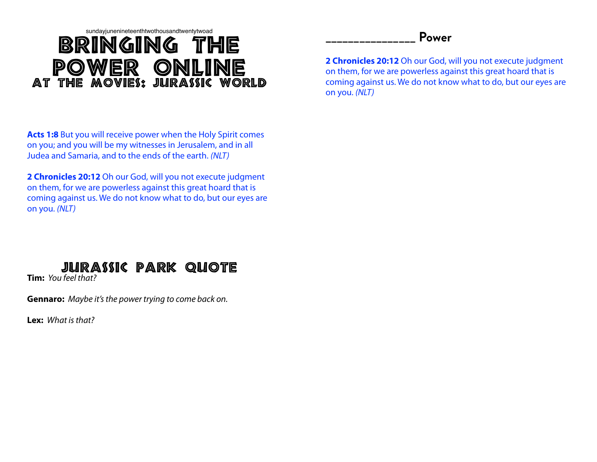## sundayjunenineteenthtwothousandtwentytwoad Bringing The Power online At The Movies: Jurassic World

**Acts 1:8** But you will receive power when the Holy Spirit comes on you; and you will be my witnesses in Jerusalem, and in all Judea and Samaria, and to the ends of the earth. *(NLT)*

**2 Chronicles 20:12** Oh our God, will you not execute judgment on them, for we are powerless against this great hoard that is coming against us. We do not know what to do, but our eyes are on you. *(NLT)*



**Tim:** *You feel that?*

**Gennaro:** *Maybe it's the power trying to come back on.*

**Lex:** *What is that?*

## **\_\_\_\_\_\_\_\_\_\_\_\_\_\_\_\_ Power**

**2 Chronicles 20:12** Oh our God, will you not execute judgment on them, for we are powerless against this great hoard that is coming against us. We do not know what to do, but our eyes are on you. *(NLT)*